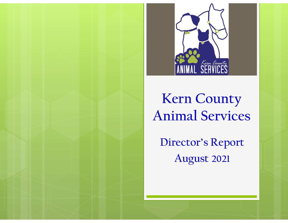

### Kern County Animal Services

Director's Report August 2021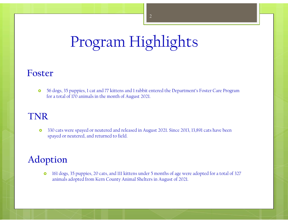# Program Highlights

#### Foster

 56 dogs, 35 puppies, 1 cat and 77 kittens and 1 rabbit entered the Department's Foster Care Program for a total of 170 animals in the month of August 2021.

#### TNR

 330 cats were spayed or neutered and released in August 2021. Since 2013, 13,891 cats have been spayed or neutered, and returned to field.

### Adoption

• 161 dogs, 35 puppies, 20 cats, and 111 kittens under 5 months of age were adopted for a total of 327 animals adopted from Kern County Animal Shelters in August of 2021.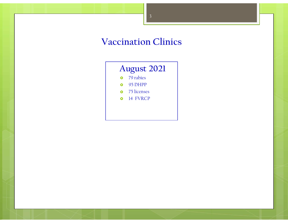### Vaccination Clinics

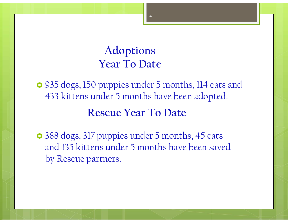### Adoptions Year To Date

 935 dogs, 150 puppies under 5 months, 114 cats and 433 kittens under 5 months have been adopted.

Rescue Year To Date

 388 dogs, 317 puppies under 5 months, 45 cats and 135 kittens under 5 months have been saved by Rescue partners.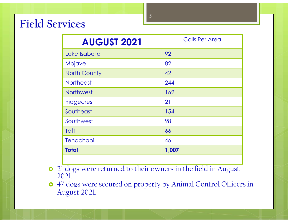### Field Services

| vices               |                       |  |
|---------------------|-----------------------|--|
|                     | 5                     |  |
| <b>AUGUST 2021</b>  | <b>Calls Per Area</b> |  |
| Lake Isabella       | 92                    |  |
| Mojave              | 82                    |  |
| <b>North County</b> | 42                    |  |
| <b>Northeast</b>    | 244                   |  |
| Northwest           | 162                   |  |
| Ridgecrest          | 21                    |  |
| Southeast           | 154                   |  |
| Southwest           | 98                    |  |
| Taft                | 66                    |  |
| Tehachapi           | 46                    |  |
| <b>Total</b>        | 1,007                 |  |

- <sup>o</sup> 21 dogs were returned to their owners in the field in August 2021.
- 47 dogs were secured on property by Animal Control Officers in August 2021.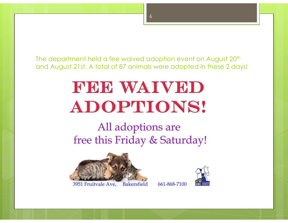The department held a fee waived adoption event on August 20<sup>th</sup> and August 21st. A total of 87 animals were adopted in these 2 days!

# FEE WAIVED **ADOPTIONS!**

### All adoptions are free this Friday & Saturday!







661-868-7100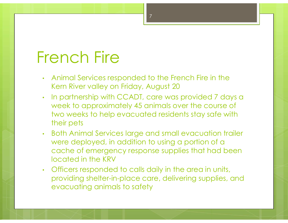### French Fire

- Animal Services responded to the French Fire in the Kern River valley on Friday, August 20
- In partnership with CCADT, care was provided 7 days a week to approximately 45 animals over the course of two weeks to help evacuated residents stay safe with their pets
- Both Animal Services large and small evacuation trailer were deployed, in addition to using a portion of a cache of emergency response supplies that had been located in the KRV
- Officers responded to calls daily in the area in units, providing shelter-in-place care, delivering supplies, and evacuating animals to safety

7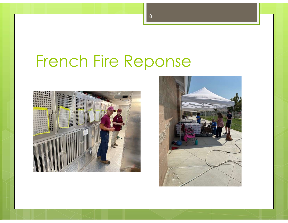## French Fire Reponse



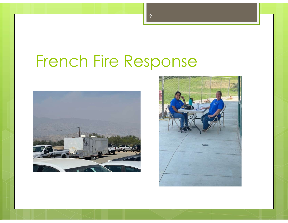# French Fire Response